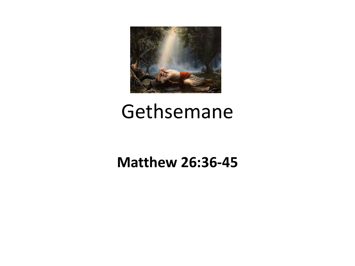

#### Gethsemane

#### **Matthew 26:36-45**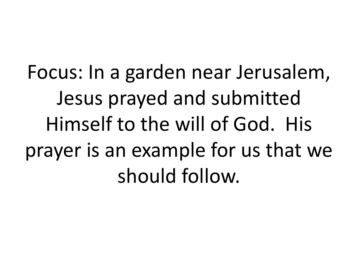Focus: In a garden near Jerusalem, Jesus prayed and submitted Himself to the will of God. His prayer is an example for us that we should follow.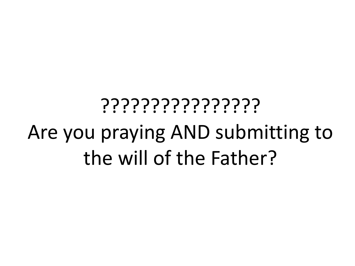# ???????????????? Are you praying AND submitting to the will of the Father?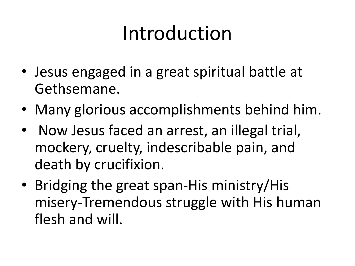## Introduction

- Jesus engaged in a great spiritual battle at Gethsemane.
- Many glorious accomplishments behind him.
- Now Jesus faced an arrest, an illegal trial, mockery, cruelty, indescribable pain, and death by crucifixion.
- Bridging the great span-His ministry/His misery-Tremendous struggle with His human flesh and will.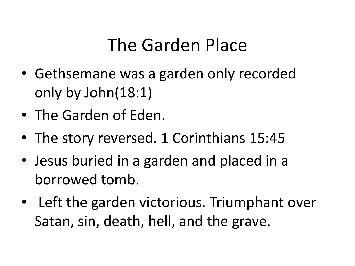#### The Garden Place

- Gethsemane was a garden only recorded only by John(18:1)
- The Garden of Eden.
- The story reversed. 1 Corinthians 15:45
- Jesus buried in a garden and placed in a borrowed tomb.
- Left the garden victorious. Triumphant over Satan, sin, death, hell, and the grave.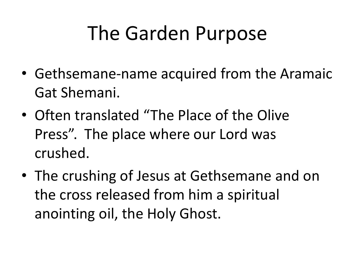### The Garden Purpose

- Gethsemane-name acquired from the Aramaic Gat Shemani.
- Often translated "The Place of the Olive Press". The place where our Lord was crushed.
- The crushing of Jesus at Gethsemane and on the cross released from him a spiritual anointing oil, the Holy Ghost.